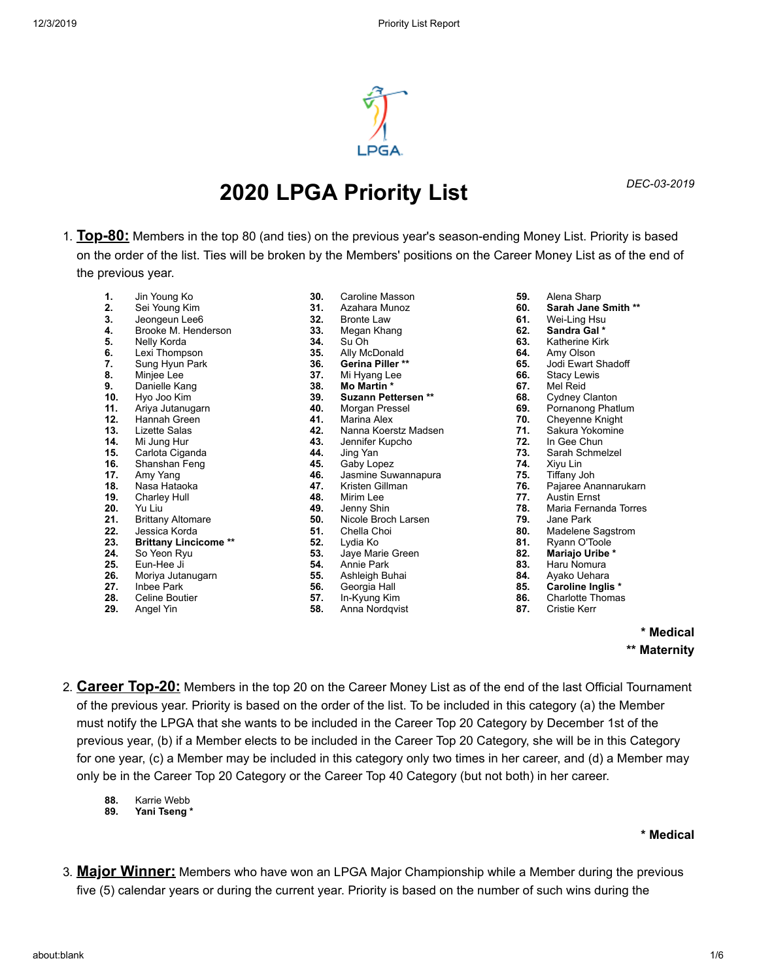

# *DEC-03-2019* **2020 LPGA Priority List**

1. **Top-80:** Members in the top 80 (and ties) on the previous year's season-ending Money List. Priority is based on the order of the list. Ties will be broken by the Members' positions on the Career Money List as of the end of the previous year.

**30.** Caroline Masson

- **1.** Jin Young Ko
- **2.** Sei Young Kim
- **3.** Jeongeun Lee6 **4.** Brooke M. Henderson
- **5.** Nelly Korda
- **6.** Lexi Thompson
- **7.** Sung Hyun Park
- **8.** Minjee Lee
- **9.** Danielle Kang
- **10.** Hyo Joo Kim
- **11.** Ariya Jutanugarn
- **12.** Hannah Green
- **13.** Lizette Salas
- **14.** Mi Jung Hur
- **15.** Carlota Ciganda
- **16.** Shanshan Feng
- **17.** Amy Yang
- **18.** Nasa Hataoka
- **19.** Charley Hull
- **20.** Yu Liu
- **21.** Brittany Altomare
- 
- **22.** Jessica Korda
- **23. Brittany Lincicome \*\***
- **24.** So Yeon Ryu
- **25.** Eun-Hee Ji
- **26.** Moriya Jutanugarn
- **27.** Inbee Park **28.** Celine Boutier
- 
- **29.** Angel Yin
- **31.** Azahara Munoz **32.** Bronte Law **33.** Megan Khang **34.** Su Oh **35.** Ally McDonald **36. Gerina Piller \*\* 37.** Mi Hyang Lee **38. Mo Martin \* 39. Suzann Pettersen \*\* 40.** Morgan Pressel **41.** Marina Alex **42.** Nanna Koerstz Madsen **43.** Jennifer Kupcho **44.** Jing Yan **45.** Gaby Lopez **46.** Jasmine Suwannapura **47.** Kristen Gillman **48.** Mirim Lee **49.** Jenny Shin **50.** Nicole Broch Larsen **51.** Chella Choi **52.** Lydia Ko **53.** Jaye Marie Green
- **54.** Annie Park
- **55.** Ashleigh Buhai
- **56.** Georgia Hall
- **57.** In-Kyung Kim
- **58.** Anna Nordqvist
- **59.** Alena Sharp
- **60. Sarah Jane Smith \*\***
- **61.** Wei-Ling Hsu
- **62. Sandra Gal \***
- **63.** Katherine Kirk
- **64.** Amy Olson
- **65.** Jodi Ewart Shadoff
- **66.** Stacy Lewis
- **67.** Mel Reid
- **68.** Cydney Clanton
- **69.** Pornanong Phatlum
- **70.** Cheyenne Knight
- **71.** Sakura Yokomine
- **72.** In Gee Chun
- **73.** Sarah Schmelzel
- **74.** Xiyu Lin
- **75.** Tiffany Joh
- **76.** Pajaree Anannarukarn
- **77.** Austin Ernst
- **78.** Maria Fernanda Torres
- **79.** Jane Park
- **80.** Madelene Sagstrom
- **81.** Ryann O'Toole
- **82. Mariajo Uribe \***
- **83.** Haru Nomura
- **84.** Ayako Uehara
- **85. Caroline Inglis \***
- **86.** Charlotte Thomas
- **87.** Cristie Kerr
	- **\* Medical \*\* Maternity**
- 2. **Career Top-20:** Members in the top 20 on the Career Money List as of the end of the last Official Tournament of the previous year. Priority is based on the order of the list. To be included in this category (a) the Member must notify the LPGA that she wants to be included in the Career Top 20 Category by December 1st of the previous year, (b) if a Member elects to be included in the Career Top 20 Category, she will be in this Category for one year, (c) a Member may be included in this category only two times in her career, and (d) a Member may only be in the Career Top 20 Category or the Career Top 40 Category (but not both) in her career.
	- 88. Karrie Webb<br>89. Yani Tseng<sup>\*</sup>
	- **89. Yani Tseng \***

## **\* Medical**

3. **Major Winner:** Members who have won an LPGA Major Championship while a Member during the previous five (5) calendar years or during the current year. Priority is based on the number of such wins during the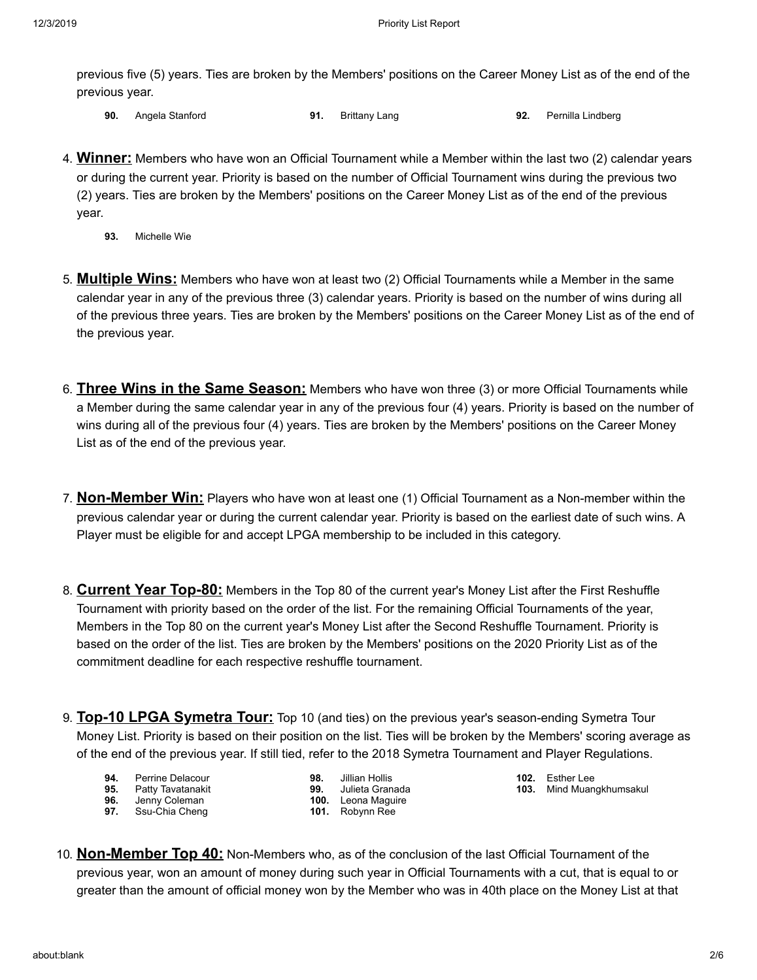previous five (5) years. Ties are broken by the Members' positions on the Career Money List as of the end of the previous year.

- **90.** Angela Stanford **91.** Brittany Lang **92.** Pernilla Lindberg
- 4. **Winner:** Members who have won an Official Tournament while a Member within the last two (2) calendar years or during the current year. Priority is based on the number of Official Tournament wins during the previous two (2) years. Ties are broken by the Members' positions on the Career Money List as of the end of the previous year.
	- **93.** Michelle Wie
- 5. **Multiple Wins:** Members who have won at least two (2) Official Tournaments while a Member in the same calendar year in any of the previous three (3) calendar years. Priority is based on the number of wins during all of the previous three years. Ties are broken by the Members' positions on the Career Money List as of the end of the previous year.
- 6. **Three Wins in the Same Season:** Members who have won three (3) or more Official Tournaments while a Member during the same calendar year in any of the previous four (4) years. Priority is based on the number of wins during all of the previous four (4) years. Ties are broken by the Members' positions on the Career Money List as of the end of the previous year.
- 7. **Non-Member Win:** Players who have won at least one (1) Official Tournament as a Non-member within the previous calendar year or during the current calendar year. Priority is based on the earliest date of such wins. A Player must be eligible for and accept LPGA membership to be included in this category.
- 8. **Current Year Top-80:** Members in the Top 80 of the current year's Money List after the First Reshuffle Tournament with priority based on the order of the list. For the remaining Official Tournaments of the year, Members in the Top 80 on the current year's Money List after the Second Reshuffle Tournament. Priority is based on the order of the list. Ties are broken by the Members' positions on the 2020 Priority List as of the commitment deadline for each respective reshuffle tournament.
- 9. **Top-10 LPGA Symetra Tour:** Top 10 (and ties) on the previous year's season-ending Symetra Tour Money List. Priority is based on their position on the list. Ties will be broken by the Members' scoring average as of the end of the previous year. If still tied, refer to the 2018 Symetra Tournament and Player Regulations.
	- **94.** Perrine Delacour
	- **95.** Patty Tavatanakit
	- **96.** Jenny Coleman<br>**97.** Ssu-Chia Cheng
		- **97.** Ssu-Chia Cheng
- **98.** Jillian Hollis **99.** Julieta Granada
- **100.** Leona Maguire
- **101.** Robynn Ree
- **102.** Esther Lee **103.** Mind Muangkhumsakul
- 10. **Non-Member Top 40:** Non-Members who, as of the conclusion of the last Official Tournament of the previous year, won an amount of money during such year in Official Tournaments with a cut, that is equal to or greater than the amount of official money won by the Member who was in 40th place on the Money List at that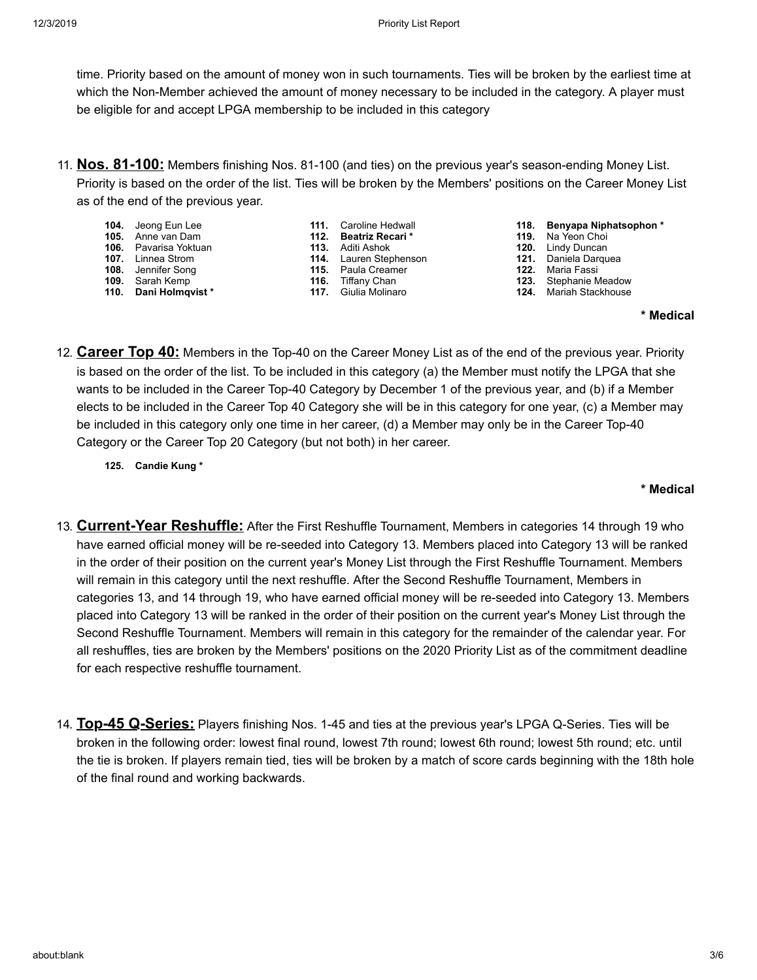time. Priority based on the amount of money won in such tournaments. Ties will be broken by the earliest time at which the Non-Member achieved the amount of money necessary to be included in the category. A player must be eligible for and accept LPGA membership to be included in this category

- 11. **Nos. 81-100:** Members finishing Nos. 81-100 (and ties) on the previous year's season-ending Money List. Priority is based on the order of the list. Ties will be broken by the Members' positions on the Career Money List as of the end of the previous year.
	- **104.** Jeong Eun Lee
	- **105.** Anne van Dam **106.** Pavarisa Yoktuan
	- **107.** Linnea Strom
	- **108.** Jennifer Song
	- **109.** Sarah Kemp
	- **110. Dani Holmqvist \***
- **111.** Caroline Hedwall
- **112. Beatriz Recari \* 113.** Aditi Ashok
- **114.** Lauren Stephenson
- **115.** Paula Creamer
- **116.** Tiffany Chan
- **117.** Giulia Molinaro
- **118. Benyapa Niphatsophon \***
- **119.** Na Yeon Choi
- **120.** Lindy Duncan
- **121.** Daniela Darquea
- **122.** Maria Fassi
	- **123.** Stephanie Meadow
- **124.** Mariah Stackhouse

**\* Medical**

- 12. **Career Top 40:** Members in the Top-40 on the Career Money List as of the end of the previous year. Priority is based on the order of the list. To be included in this category (a) the Member must notify the LPGA that she wants to be included in the Career Top-40 Category by December 1 of the previous year, and (b) if a Member elects to be included in the Career Top 40 Category she will be in this category for one year, (c) a Member may be included in this category only one time in her career, (d) a Member may only be in the Career Top-40 Category or the Career Top 20 Category (but not both) in her career.
	- **125. Candie Kung \***

## **\* Medical**

- 13. **Current-Year Reshuffle:** After the First Reshuffle Tournament, Members in categories 14 through 19 who have earned official money will be re-seeded into Category 13. Members placed into Category 13 will be ranked in the order of their position on the current year's Money List through the First Reshuffle Tournament. Members will remain in this category until the next reshuffle. After the Second Reshuffle Tournament, Members in categories 13, and 14 through 19, who have earned official money will be re-seeded into Category 13. Members placed into Category 13 will be ranked in the order of their position on the current year's Money List through the Second Reshuffle Tournament. Members will remain in this category for the remainder of the calendar year. For all reshuffles, ties are broken by the Members' positions on the 2020 Priority List as of the commitment deadline for each respective reshuffle tournament.
- 14. **Top-45 Q-Series:** Players finishing Nos. 1-45 and ties at the previous year's LPGA Q-Series. Ties will be broken in the following order: lowest final round, lowest 7th round; lowest 6th round; lowest 5th round; etc. until the tie is broken. If players remain tied, ties will be broken by a match of score cards beginning with the 18th hole of the final round and working backwards.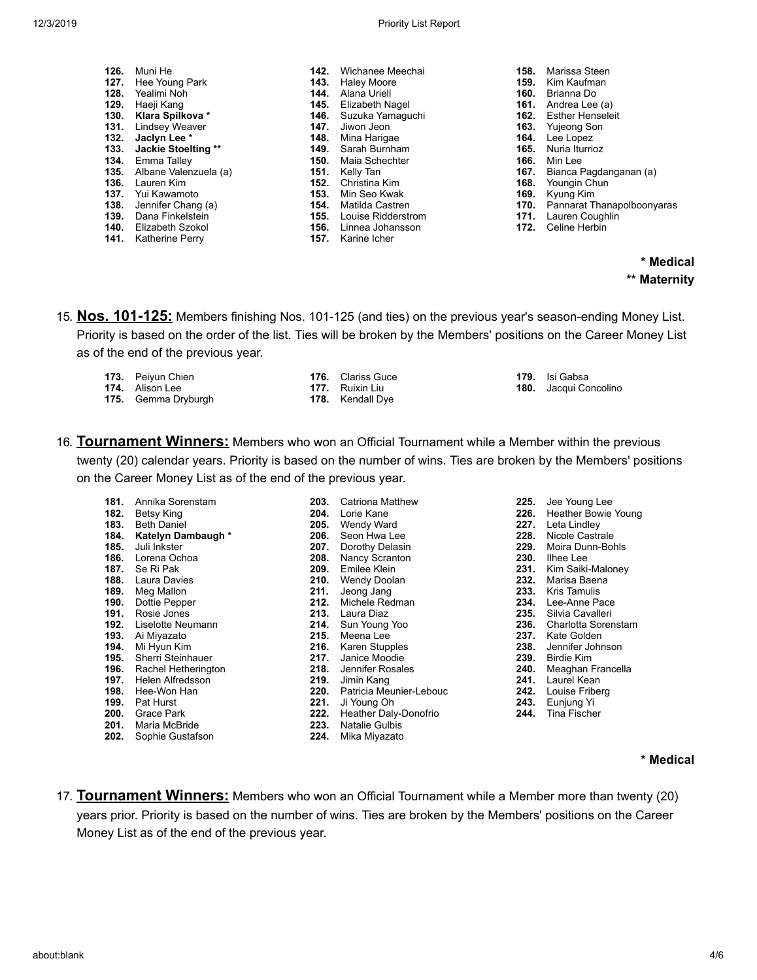| 12/3/2019 | <b>Priority List Report</b> |
|-----------|-----------------------------|
|-----------|-----------------------------|

- **126.** Muni He **127.** Hee Young Park **128.** Yealimi Noh **129.** Haeji Kang **130. Klara Spilkova \* 131.** Lindsey Weaver **132. Jaclyn Lee \* 133. Jackie Stoelting \*\* 134.** Emma Talley **135.** Albane Valenzuela (a) **136.** Lauren Kim **137.** Yui Kawamoto **138.** Jennifer Chang (a) **139.** Dana Finkelstein **140.** Elizabeth Szokol
- **141.** Katherine Perry

| 142. | Wichanee Meechai   |
|------|--------------------|
| 143. | Haley Moore        |
| 144. | Alana Uriell       |
| 145. | Elizabeth Nagel    |
| 146. | Suzuka Yamaguchi   |
| 147. | Jiwon Jeon.        |
| 148. | Mina Harigae       |
| 149. | Sarah Burnham      |
| 150. | Maia Schechter     |
| 151. | Kelly Tan          |
| 152. | Christina Kim      |
| 153. | Min Seo Kwak       |
| 154. | Matilda Castren    |
| 155. | Louise Ridderstrom |
| 156. | Linnea Johansson   |

**157.** Karine Icher

- **158.** Marissa Steen
- **159.** Kim Kaufman
- **160.** Brianna Do
- **161.** Andrea Lee (a)
- **162.** Esther Henseleit
- **163.** Yujeong Son
- **164.** Lee Lopez
- **165.** Nuria Iturrioz
- **166.** Min Lee
- **167.** Bianca Pagdanganan (a)
- **168.** Youngin Chun
- **169.** Kyung Kim
- **170.** Pannarat Thanapolboonyaras
- **171.** Lauren Coughlin
- **172.** Celine Herbin

**\* Medical \*\* Maternity**

15. **Nos. 101-125:** Members finishing Nos. 101-125 (and ties) on the previous year's season-ending Money List. Priority is based on the order of the list. Ties will be broken by the Members' positions on the Career Money List as of the end of the previous year.

| <b>173.</b> Peiyun Chien   | <b>176.</b> Clariss Guce | <b>179.</b> Isi Gabsa        |
|----------------------------|--------------------------|------------------------------|
| <b>174.</b> Alison Lee     | <b>177.</b> Ruixin Liu   | <b>180.</b> Jacqui Concolino |
| <b>175.</b> Gemma Dryburgh | <b>178.</b> Kendall Dye  |                              |

16. **Tournament Winners:** Members who won an Official Tournament while a Member within the previous twenty (20) calendar years. Priority is based on the number of wins. Ties are broken by the Members' positions on the Career Money List as of the end of the previous year.

**181.** Annika Sorenstam **182.** Betsy King **183.** Beth Daniel **184. Katelyn Dambaugh \* 185.** Juli Inkster **186.** Lorena Ochoa **187.** Se Ri Pak **188.** Laura Davies **189.** Meg Mallon **190.** Dottie Pepper **191.** Rosie Jones **192.** Liselotte Neumann **193.** Ai Miyazato **194.** Mi Hyun Kim **195.** Sherri Steinhauer **196.** Rachel Hetherington **197.** Helen Alfredsson **198.** Hee-Won Han **199.** Pat Hurst **200.** Grace Park **201.** Maria McBride **202.** Sophie Gustafson

**203.** Catriona Matthew **204.** Lorie Kane **205.** Wendy Ward **206.** Seon Hwa Lee **207.** Dorothy Delasin **208.** Nancy Scranton **209.** Emilee Klein **210.** Wendy Doolan **211.** Jeong Jang **212.** Michele Redman **213.** Laura Diaz **214.** Sun Young Yoo **215.** Meena Lee **216.** Karen Stupples **217.** Janice Moodie **218.** Jennifer Rosales **219.** Jimin Kang **220.** Patricia Meunier-Lebouc **221.** Ji Young Oh **222.** Heather Daly-Donofrio **223.** Natalie Gulbis **224.** Mika Miyazato

- **225.** Jee Young Lee
- **226.** Heather Bowie Young
- **227.** Leta Lindley
- **228.** Nicole Castrale
- **229.** Moira Dunn-Bohls
- **230.** Ilhee Lee
- **231.** Kim Saiki-Maloney
- **232.** Marisa Baena
- 
- **233.** Kris Tamulis **234.** Lee-Anne Pace
- 
- **235.** Silvia Cavalleri **236.** Charlotta Sorenstam
- 
- 237. Kate Golden<br>238. Jennifer Joh **238.** Jennifer Johnson
- **239.** Birdie Kim
- **240.** Meaghan Francella
- **241.** Laurel Kean
- **242.** Louise Friberg
- **243.** Eunjung Yi
- **244.** Tina Fischer

### **\* Medical**

17. **Tournament Winners:** Members who won an Official Tournament while a Member more than twenty (20) years prior. Priority is based on the number of wins. Ties are broken by the Members' positions on the Career Money List as of the end of the previous year.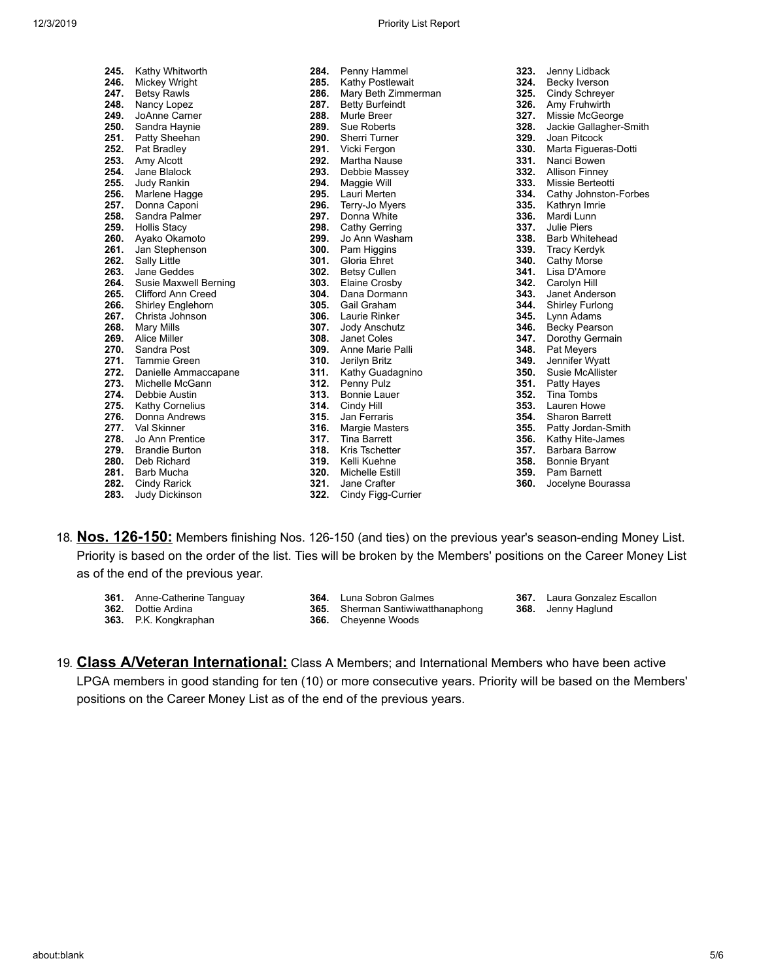| 245. | Kathy Whitworth           |
|------|---------------------------|
| 246. | Mickey Wright             |
| 247. | <b>Betsy Rawls</b>        |
| 248. | Nancy Lopez               |
| 249. | JoAnne Carner             |
| 250. | Sandra Haynie             |
| 251. | Patty Sheehan             |
| 252. | Pat Bradley               |
| 253. | Amy Alcott                |
| 254. | Jane Blalock              |
| 255. | <b>Judy Rankin</b>        |
| 256. | Marlene Hagge             |
| 257. | Donna Caponi              |
| 258. | Sandra Palmer             |
| 259. | Hollis Stacy              |
| 260. | Ayako Okamoto             |
| 261. | Jan Stephenson            |
| 262. | Sally Little              |
| 263. | Jane Geddes               |
| 264. | Susie Maxwell Berning     |
| 265. | <b>Clifford Ann Creed</b> |
| 266. | Shirley Englehorn         |
| 267. | Christa Johnson           |
| 268. | <b>Mary Mills</b>         |
| 269. | Alice Miller              |
| 270. | Sandra Post               |
| 271. | <b>Tammie Green</b>       |
| 272. | Danielle Ammaccapane      |
| 273. | Michelle McGann           |
| 274. | Debbie Austin             |
| 275. | Kathy Cornelius           |
| 276. | Donna Andrews             |
| 277. | Val Skinner               |
| 278. | Jo Ann Prentice           |
| 279. | <b>Brandie Burton</b>     |
| 280. | Deb Richard               |
| 281. | Barb Mucha                |
| 282. | Cindy Rarick              |
| 283. | Judy Dickinson            |

| 284. | Penny Hammel           |
|------|------------------------|
| 285. | Kathy Postlewait       |
| 286. | Mary Beth Zimmerman    |
| 287. | <b>Betty Burfeindt</b> |
| 288. | Murle Breer            |
| 289. | Sue Roberts            |
| 290. | Sherri Turner          |
| 291. | Vicki Fergon           |
| 292. | Martha Nause           |
| 293. | Debbie Massey          |
| 294. | Maggie Will            |
| 295. | Lauri Merten           |
| 296. | Terry-Jo Myers         |
| 297. | Donna White            |
| 298. | Cathy Gerring          |
| 299. | Jo Ann Washam          |
| 300. | Pam Higgins            |
| 301. | Gloria Ehret           |
| 302. | <b>Betsy Cullen</b>    |
| 303. | Elaine Crosby          |
| 304. | Dana Dormann           |
| 305. | Gail Graham            |
| 306. | Laurie Rinker          |
| 307. | <b>Jody Anschutz</b>   |
| 308. | <b>Janet Coles</b>     |
| 309. | Anne Marie Palli       |
| 310. | Jerilyn Britz          |
| 311. | Kathy Guadagnino       |
| 312. | Penny Pulz             |
| 313. | Bonnie Lauer           |
| 314. | Cindy Hill             |
| 315. | Jan Ferraris           |
| 316. | Margie Masters         |
| 317. | Tina Barrett           |
| 318. | Kris Tschetter         |
| 319. | Kelli Kuehne           |
| 320. | Michelle Estill        |
| 321. | Jane Crafter           |
| 322. | Cindy Figg-Currier     |

| 324. | Becky Iverson          |
|------|------------------------|
| 325. | Cindy Schreyer         |
| 326. | Amy Fruhwirth          |
| 327. | Missie McGeorge        |
| 328. | Jackie Gallagher-Smith |
| 329. | Joan Pitcock           |
| 330. | Marta Figueras-Dotti   |
| 331. | Nanci Bowen            |
| 332. | Allison Finney         |
| 333. | Missie Berteotti       |
| 334. | Cathy Johnston-Forbes  |
| 335. | Kathryn Imrie          |
| 336. | Mardi Lunn             |
| 337. | <b>Julie Piers</b>     |
| 338. | <b>Barb Whitehead</b>  |
| 339. | <b>Tracy Kerdyk</b>    |
| 340. | Cathy Morse            |
| 341. | Lisa D'Amore           |
| 342. | Carolyn Hill           |
| 343. | Janet Anderson         |
| 344. | Shirley Furlong        |
| 345. | Lynn Adams             |
| 346. | <b>Becky Pearson</b>   |
| 347. | Dorothy Germain        |
| 348. | Pat Meyers             |
| 349. | Jennifer Wyatt         |
| 350. | Susie McAllister       |
| 351. | Patty Hayes            |
| 352. | Tina Tombs             |
| 353. | Lauren Howe            |
| 354. | <b>Sharon Barrett</b>  |
| 355. | Patty Jordan-Smith     |
| 356. | Kathy Hite-James       |
| 357. | Barbara Barrow         |
| 358. | <b>Bonnie Bryant</b>   |
| 359. | Pam Barnett            |
| 360. | Jocelyne Bourassa      |

**323.** Jenny Lidback

- 18. **Nos. 126-150:** Members finishing Nos. 126-150 (and ties) on the previous year's season-ending Money List. Priority is based on the order of the list. Ties will be broken by the Members' positions on the Career Money List as of the end of the previous year.
	- **361.** Anne-Catherine Tanguay
	- **362.** Dottie Ardina
	- **363.** P.K. Kongkraphan
- **364.** Luna Sobron Galmes **365.** Sherman Santiwiwatthanaphong
- **367.** Laura Gonzalez Escallon
	-
- **366.** Cheyenne Woods
- - **368.** Jenny Haglund
- 19. **Class A/Veteran International:** Class A Members; and International Members who have been active LPGA members in good standing for ten (10) or more consecutive years. Priority will be based on the Members' positions on the Career Money List as of the end of the previous years.